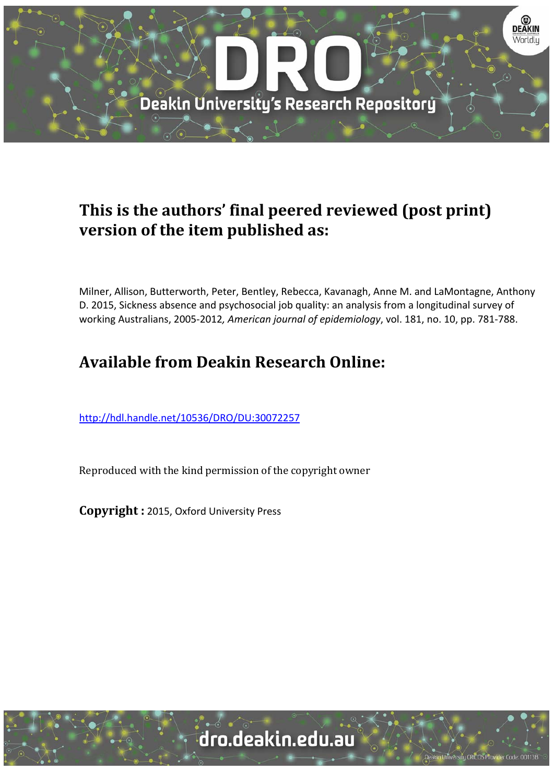

# **This is the authors' final peered reviewed (post print) version of the item published as:**

Milner, Allison, Butterworth, Peter, Bentley, Rebecca, Kavanagh, Anne M. and LaMontagne, Anthony D. 2015, Sickness absence and psychosocial job quality: an analysis from a longitudinal survey of working Australians, 2005‐2012*, American journal of epidemiology*, vol. 181, no. 10, pp. 781‐788.

# **Available from Deakin Research Online:**

http://hdl.handle.net/10536/DRO/DU:30072257

Reproduced with the kind permission of the copyright owner

**Copyright :** 2015, Oxford University Press

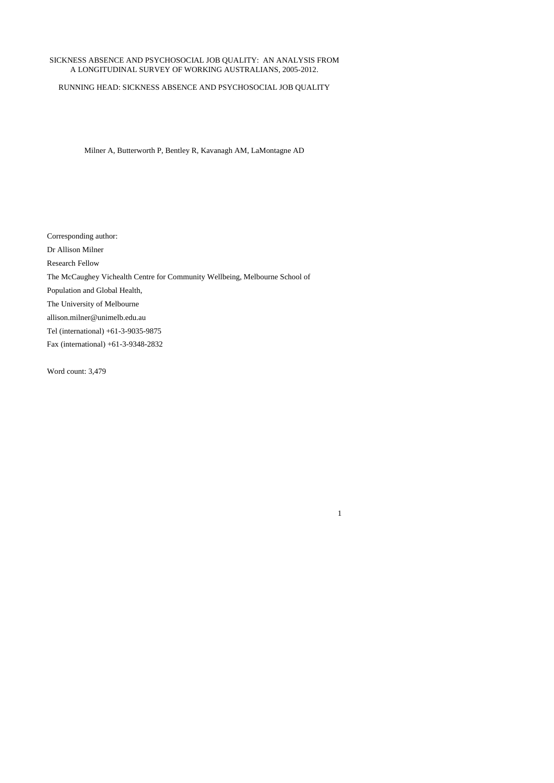## SICKNESS ABSENCE AND PSYCHOSOCIAL JOB QUALITY: AN ANALYSIS FROM A LONGITUDINAL SURVEY OF WORKING AUSTRALIANS, 2005-2012.

RUNNING HEAD: SICKNESS ABSENCE AND PSYCHOSOCIAL JOB QUALITY

Milner A, Butterworth P, Bentley R, Kavanagh AM, LaMontagne AD

Corresponding author: Dr Allison Milner Research Fellow The McCaughey Vichealth Centre for Community Wellbeing, Melbourne School of Population and Global Health, The University of Melbourne allison.milner@unimelb.edu.au Tel (international) +61-3-9035-9875 Fax (international) +61-3-9348-2832

1

Word count: 3,479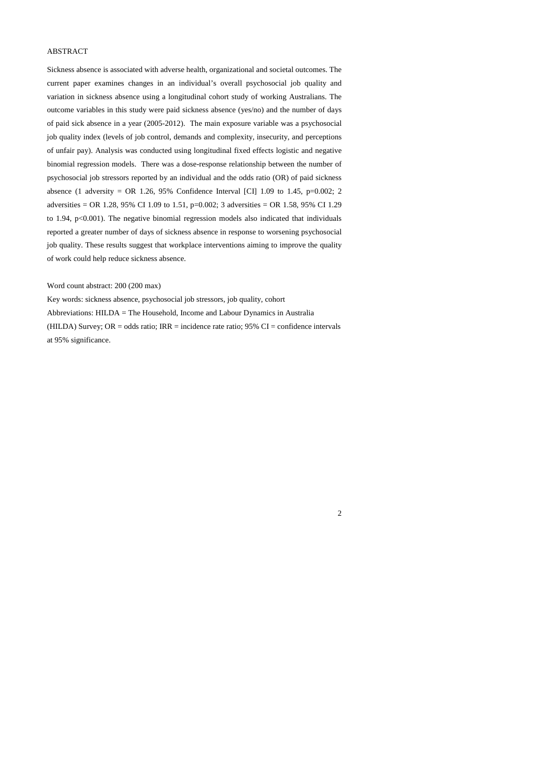## ABSTRACT

Sickness absence is associated with adverse health, organizational and societal outcomes. The current paper examines changes in an individual's overall psychosocial job quality and variation in sickness absence using a longitudinal cohort study of working Australians. The outcome variables in this study were paid sickness absence (yes/no) and the number of days of paid sick absence in a year (2005-2012). The main exposure variable was a psychosocial job quality index (levels of job control, demands and complexity, insecurity, and perceptions of unfair pay). Analysis was conducted using longitudinal fixed effects logistic and negative binomial regression models. There was a dose-response relationship between the number of psychosocial job stressors reported by an individual and the odds ratio (OR) of paid sickness absence (1 adversity = OR 1.26, 95% Confidence Interval [CI] 1.09 to 1.45, p=0.002; 2 adversities = OR 1.28, 95% CI 1.09 to 1.51, p=0.002; 3 adversities = OR 1.58, 95% CI 1.29 to 1.94, p<0.001). The negative binomial regression models also indicated that individuals reported a greater number of days of sickness absence in response to worsening psychosocial job quality. These results suggest that workplace interventions aiming to improve the quality of work could help reduce sickness absence.

#### Word count abstract: 200 (200 max)

Key words: sickness absence, psychosocial job stressors, job quality, cohort Abbreviations: HILDA = The Household, Income and Labour Dynamics in Australia (HILDA) Survey;  $OR = odds$  ratio;  $IRR = incidence$  rate ratio; 95%  $CI = confidence$  intervals at 95% significance.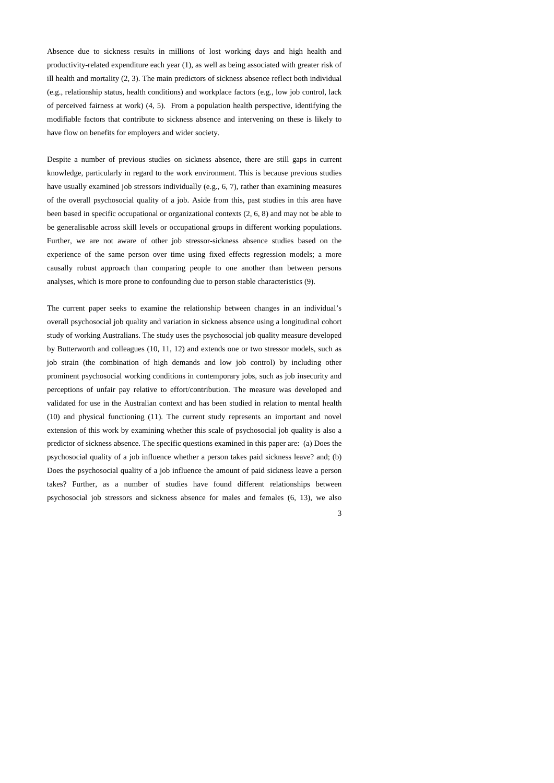Absence due to sickness results in millions of lost working days and high health and productivity-related expenditure each year (1), as well as being associated with greater risk of ill health and mortality (2, 3). The main predictors of sickness absence reflect both individual (e.g., relationship status, health conditions) and workplace factors (e.g., low job control, lack of perceived fairness at work) (4, 5). From a population health perspective, identifying the modifiable factors that contribute to sickness absence and intervening on these is likely to have flow on benefits for employers and wider society.

Despite a number of previous studies on sickness absence, there are still gaps in current knowledge, particularly in regard to the work environment. This is because previous studies have usually examined job stressors individually (e.g., 6, 7), rather than examining measures of the overall psychosocial quality of a job. Aside from this, past studies in this area have been based in specific occupational or organizational contexts (2, 6, 8) and may not be able to be generalisable across skill levels or occupational groups in different working populations. Further, we are not aware of other job stressor-sickness absence studies based on the experience of the same person over time using fixed effects regression models; a more causally robust approach than comparing people to one another than between persons analyses, which is more prone to confounding due to person stable characteristics (9).

The current paper seeks to examine the relationship between changes in an individual's overall psychosocial job quality and variation in sickness absence using a longitudinal cohort study of working Australians. The study uses the psychosocial job quality measure developed by Butterworth and colleagues (10, 11, 12) and extends one or two stressor models, such as job strain (the combination of high demands and low job control) by including other prominent psychosocial working conditions in contemporary jobs, such as job insecurity and perceptions of unfair pay relative to effort/contribution. The measure was developed and validated for use in the Australian context and has been studied in relation to mental health (10) and physical functioning (11). The current study represents an important and novel extension of this work by examining whether this scale of psychosocial job quality is also a predictor of sickness absence. The specific questions examined in this paper are: (a) Does the psychosocial quality of a job influence whether a person takes paid sickness leave? and; (b) Does the psychosocial quality of a job influence the amount of paid sickness leave a person takes? Further, as a number of studies have found different relationships between psychosocial job stressors and sickness absence for males and females (6, 13), we also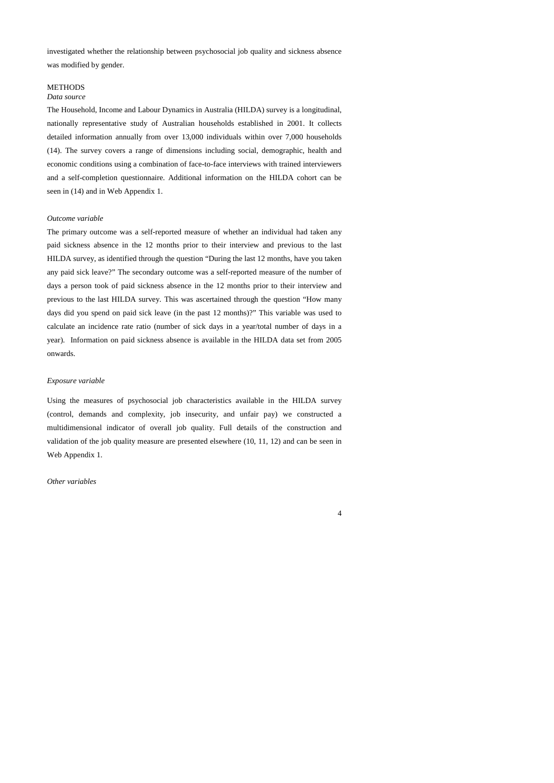investigated whether the relationship between psychosocial job quality and sickness absence was modified by gender.

# **METHODS**

## *Data source*

The Household, Income and Labour Dynamics in Australia (HILDA) survey is a longitudinal, nationally representative study of Australian households established in 2001. It collects detailed information annually from over 13,000 individuals within over 7,000 households (14). The survey covers a range of dimensions including social, demographic, health and economic conditions using a combination of face-to-face interviews with trained interviewers and a self-completion questionnaire. Additional information on the HILDA cohort can be seen in (14) and in Web Appendix 1.

## *Outcome variable*

The primary outcome was a self-reported measure of whether an individual had taken any paid sickness absence in the 12 months prior to their interview and previous to the last HILDA survey, as identified through the question "During the last 12 months, have you taken any paid sick leave?" The secondary outcome was a self-reported measure of the number of days a person took of paid sickness absence in the 12 months prior to their interview and previous to the last HILDA survey. This was ascertained through the question "How many days did you spend on paid sick leave (in the past 12 months)?" This variable was used to calculate an incidence rate ratio (number of sick days in a year/total number of days in a year). Information on paid sickness absence is available in the HILDA data set from 2005 onwards.

#### *Exposure variable*

Using the measures of psychosocial job characteristics available in the HILDA survey (control, demands and complexity, job insecurity, and unfair pay) we constructed a multidimensional indicator of overall job quality. Full details of the construction and validation of the job quality measure are presented elsewhere (10, 11, 12) and can be seen in Web Appendix 1.

*Other variables*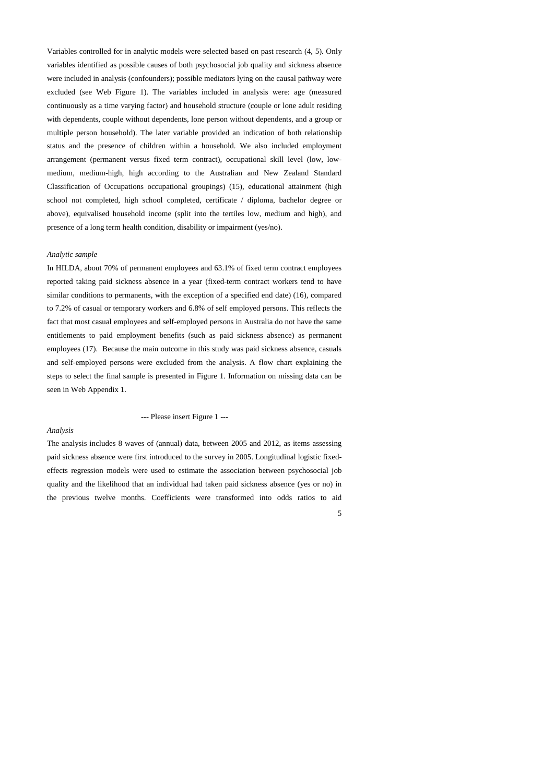Variables controlled for in analytic models were selected based on past research (4, 5). Only variables identified as possible causes of both psychosocial job quality and sickness absence were included in analysis (confounders); possible mediators lying on the causal pathway were excluded (see Web Figure 1). The variables included in analysis were: age (measured continuously as a time varying factor) and household structure (couple or lone adult residing with dependents, couple without dependents, lone person without dependents, and a group or multiple person household). The later variable provided an indication of both relationship status and the presence of children within a household. We also included employment arrangement (permanent versus fixed term contract), occupational skill level (low, lowmedium, medium-high, high according to the Australian and New Zealand Standard Classification of Occupations occupational groupings) (15), educational attainment (high school not completed, high school completed, certificate / diploma, bachelor degree or above), equivalised household income (split into the tertiles low, medium and high), and presence of a long term health condition, disability or impairment (yes/no).

#### *Analytic sample*

In HILDA, about 70% of permanent employees and 63.1% of fixed term contract employees reported taking paid sickness absence in a year (fixed-term contract workers tend to have similar conditions to permanents, with the exception of a specified end date) (16), compared to 7.2% of casual or temporary workers and 6.8% of self employed persons. This reflects the fact that most casual employees and self-employed persons in Australia do not have the same entitlements to paid employment benefits (such as paid sickness absence) as permanent employees (17). Because the main outcome in this study was paid sickness absence, casuals and self-employed persons were excluded from the analysis. A flow chart explaining the steps to select the final sample is presented in Figure 1. Information on missing data can be seen in Web Appendix 1.

#### --- Please insert Figure 1 ---

#### *Analysis*

The analysis includes 8 waves of (annual) data, between 2005 and 2012, as items assessing paid sickness absence were first introduced to the survey in 2005. Longitudinal logistic fixedeffects regression models were used to estimate the association between psychosocial job quality and the likelihood that an individual had taken paid sickness absence (yes or no) in the previous twelve months. Coefficients were transformed into odds ratios to aid